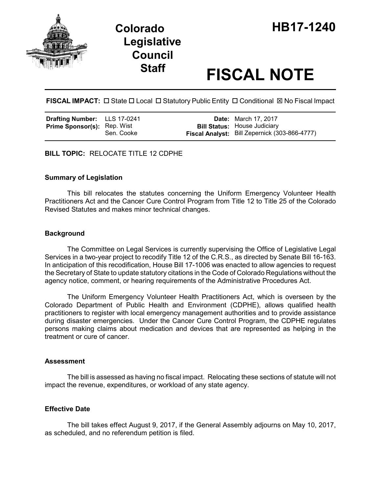

# **Legislative Council**

## **Staff FISCAL NOTE**

FISCAL IMPACT:  $\Box$  State  $\Box$  Local  $\Box$  Statutory Public Entity  $\Box$  Conditional  $\boxtimes$  No Fiscal Impact

| Drafting Number: LLS 17-0241       |            | <b>Date:</b> March 17, 2017                                                          |
|------------------------------------|------------|--------------------------------------------------------------------------------------|
| <b>Prime Sponsor(s): Rep. Wist</b> | Sen. Cooke | <b>Bill Status:</b> House Judiciary<br>Fiscal Analyst: Bill Zepernick (303-866-4777) |
|                                    |            |                                                                                      |

**BILL TOPIC:** RELOCATE TITLE 12 CDPHE

#### **Summary of Legislation**

This bill relocates the statutes concerning the Uniform Emergency Volunteer Health Practitioners Act and the Cancer Cure Control Program from Title 12 to Title 25 of the Colorado Revised Statutes and makes minor technical changes.

#### **Background**

The Committee on Legal Services is currently supervising the Office of Legislative Legal Services in a two-year project to recodify Title 12 of the C.R.S., as directed by Senate Bill 16-163. In anticipation of this recodification, House Bill 17-1006 was enacted to allow agencies to request the Secretary of State to update statutory citations in the Code of Colorado Regulations without the agency notice, comment, or hearing requirements of the Administrative Procedures Act.

The Uniform Emergency Volunteer Health Practitioners Act, which is overseen by the Colorado Department of Public Health and Environment (CDPHE), allows qualified health practitioners to register with local emergency management authorities and to provide assistance during disaster emergencies. Under the Cancer Cure Control Program, the CDPHE regulates persons making claims about medication and devices that are represented as helping in the treatment or cure of cancer.

#### **Assessment**

The bill is assessed as having no fiscal impact. Relocating these sections of statute will not impact the revenue, expenditures, or workload of any state agency.

#### **Effective Date**

The bill takes effect August 9, 2017, if the General Assembly adjourns on May 10, 2017, as scheduled, and no referendum petition is filed.